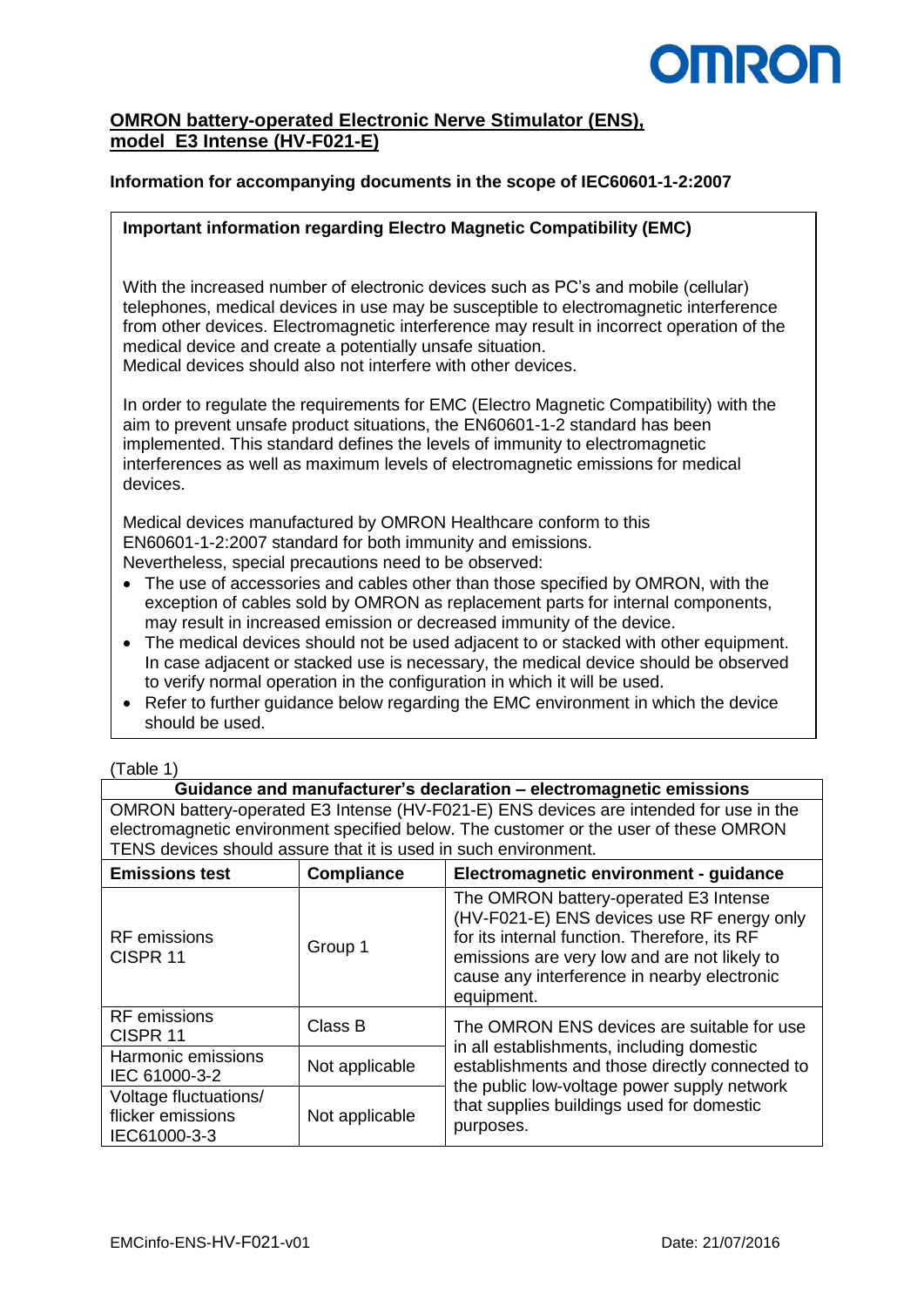# **OMRON**

## **OMRON battery-operated Electronic Nerve Stimulator (ENS), model E3 Intense (HV-F021-E)**

### **Information for accompanying documents in the scope of IEC60601-1-2:2007**

#### **Important information regarding Electro Magnetic Compatibility (EMC)**

With the increased number of electronic devices such as PC's and mobile (cellular) telephones, medical devices in use may be susceptible to electromagnetic interference from other devices. Electromagnetic interference may result in incorrect operation of the medical device and create a potentially unsafe situation. Medical devices should also not interfere with other devices.

In order to regulate the requirements for EMC (Electro Magnetic Compatibility) with the aim to prevent unsafe product situations, the EN60601-1-2 standard has been implemented. This standard defines the levels of immunity to electromagnetic interferences as well as maximum levels of electromagnetic emissions for medical devices.

Medical devices manufactured by OMRON Healthcare conform to this EN60601-1-2:2007 standard for both immunity and emissions. Nevertheless, special precautions need to be observed:

- The use of accessories and cables other than those specified by OMRON, with the exception of cables sold by OMRON as replacement parts for internal components, may result in increased emission or decreased immunity of the device.
- The medical devices should not be used adjacent to or stacked with other equipment. In case adjacent or stacked use is necessary, the medical device should be observed to verify normal operation in the configuration in which it will be used.
- Refer to further guidance below regarding the EMC environment in which the device should be used.

**Guidance and manufacturer's declaration – electromagnetic emissions** OMRON battery-operated E3 Intense (HV-F021-E) ENS devices are intended for use in the electromagnetic environment specified below. The customer or the user of these OMRON TENS devices should assure that it is used in such environment.

| <b>Emissions test</b>                                      | <b>Compliance</b> | Electromagnetic environment - guidance                                                                                                                                                                                                           |  |  |  |
|------------------------------------------------------------|-------------------|--------------------------------------------------------------------------------------------------------------------------------------------------------------------------------------------------------------------------------------------------|--|--|--|
| <b>RF</b> emissions<br>CISPR <sub>11</sub>                 | Group 1           | The OMRON battery-operated E3 Intense<br>(HV-F021-E) ENS devices use RF energy only<br>for its internal function. Therefore, its RF<br>emissions are very low and are not likely to<br>cause any interference in nearby electronic<br>equipment. |  |  |  |
| <b>RF</b> emissions<br>CISPR 11                            | Class B           | The OMRON ENS devices are suitable for use                                                                                                                                                                                                       |  |  |  |
| Harmonic emissions<br>IEC 61000-3-2                        | Not applicable    | in all establishments, including domestic<br>establishments and those directly connected to<br>the public low-voltage power supply network<br>that supplies buildings used for domestic<br>purposes.                                             |  |  |  |
| Voltage fluctuations/<br>flicker emissions<br>IEC61000-3-3 | Not applicable    |                                                                                                                                                                                                                                                  |  |  |  |

<sup>(</sup>Table 1)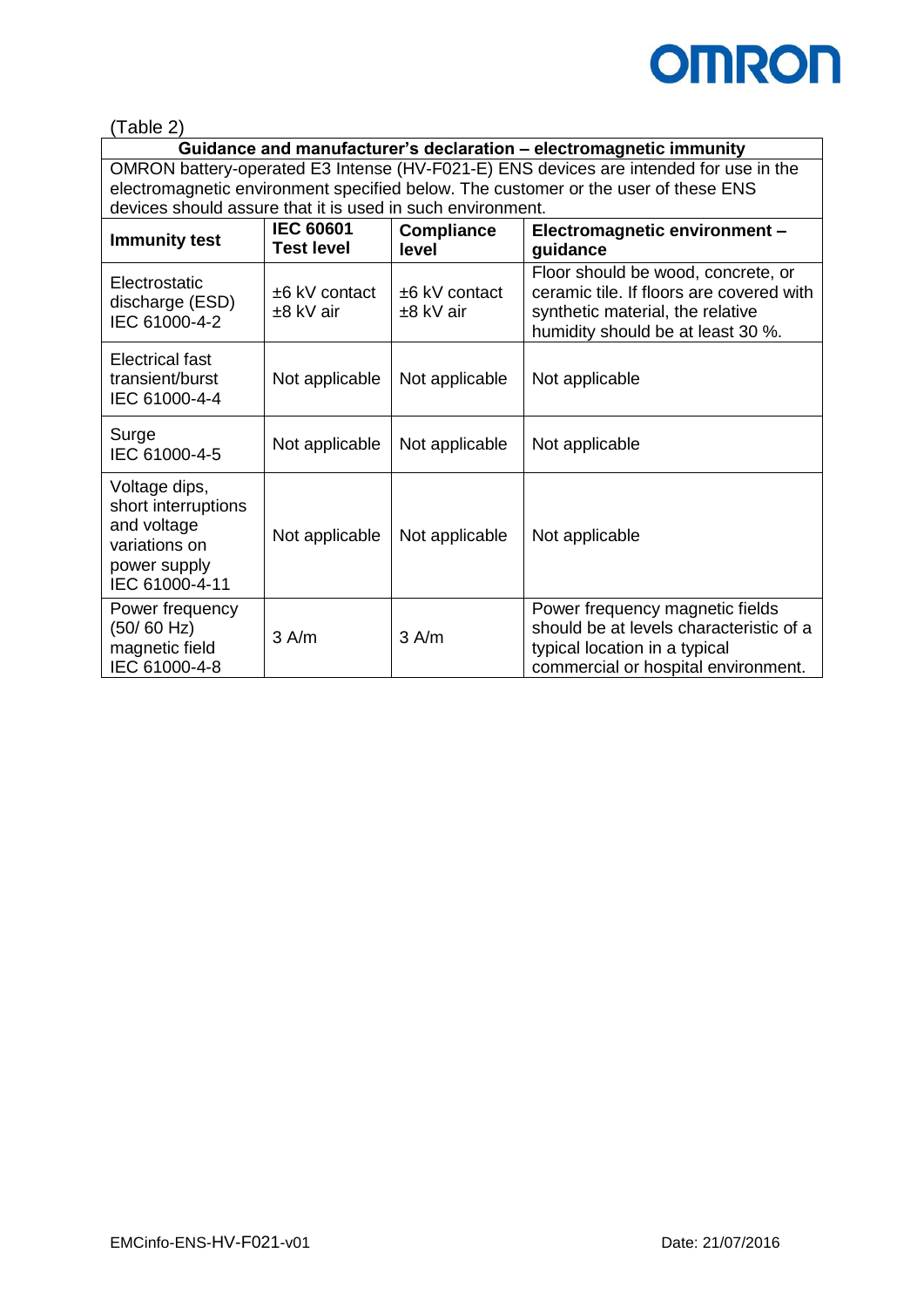

(Table 2)

**Guidance and manufacturer's declaration – electromagnetic immunity** OMRON battery-operated E3 Intense (HV-F021-E) ENS devices are intended for use in the electromagnetic environment specified below. The customer or the user of these ENS devices should assure that it is used in such environment.

| <b>Immunity test</b>                                                                                   | <b>IEC 60601</b><br><b>Test level</b> | <b>Compliance</b><br>level   | Electromagnetic environment -<br>guidance                                                                                                               |  |
|--------------------------------------------------------------------------------------------------------|---------------------------------------|------------------------------|---------------------------------------------------------------------------------------------------------------------------------------------------------|--|
| Electrostatic<br>discharge (ESD)<br>IEC 61000-4-2                                                      | ±6 kV contact<br>±8 kV air            | $±6$ kV contact<br>±8 kV air | Floor should be wood, concrete, or<br>ceramic tile. If floors are covered with<br>synthetic material, the relative<br>humidity should be at least 30 %. |  |
| Electrical fast<br>transient/burst<br>IEC 61000-4-4                                                    | Not applicable                        | Not applicable               | Not applicable                                                                                                                                          |  |
| Surge<br>IEC 61000-4-5                                                                                 | Not applicable                        | Not applicable               | Not applicable                                                                                                                                          |  |
| Voltage dips,<br>short interruptions<br>and voltage<br>variations on<br>power supply<br>IEC 61000-4-11 | Not applicable                        | Not applicable               | Not applicable                                                                                                                                          |  |
| Power frequency<br>(50/60 Hz)<br>magnetic field<br>IEC 61000-4-8                                       | $3$ A/m                               | 3 A/m                        | Power frequency magnetic fields<br>should be at levels characteristic of a<br>typical location in a typical<br>commercial or hospital environment.      |  |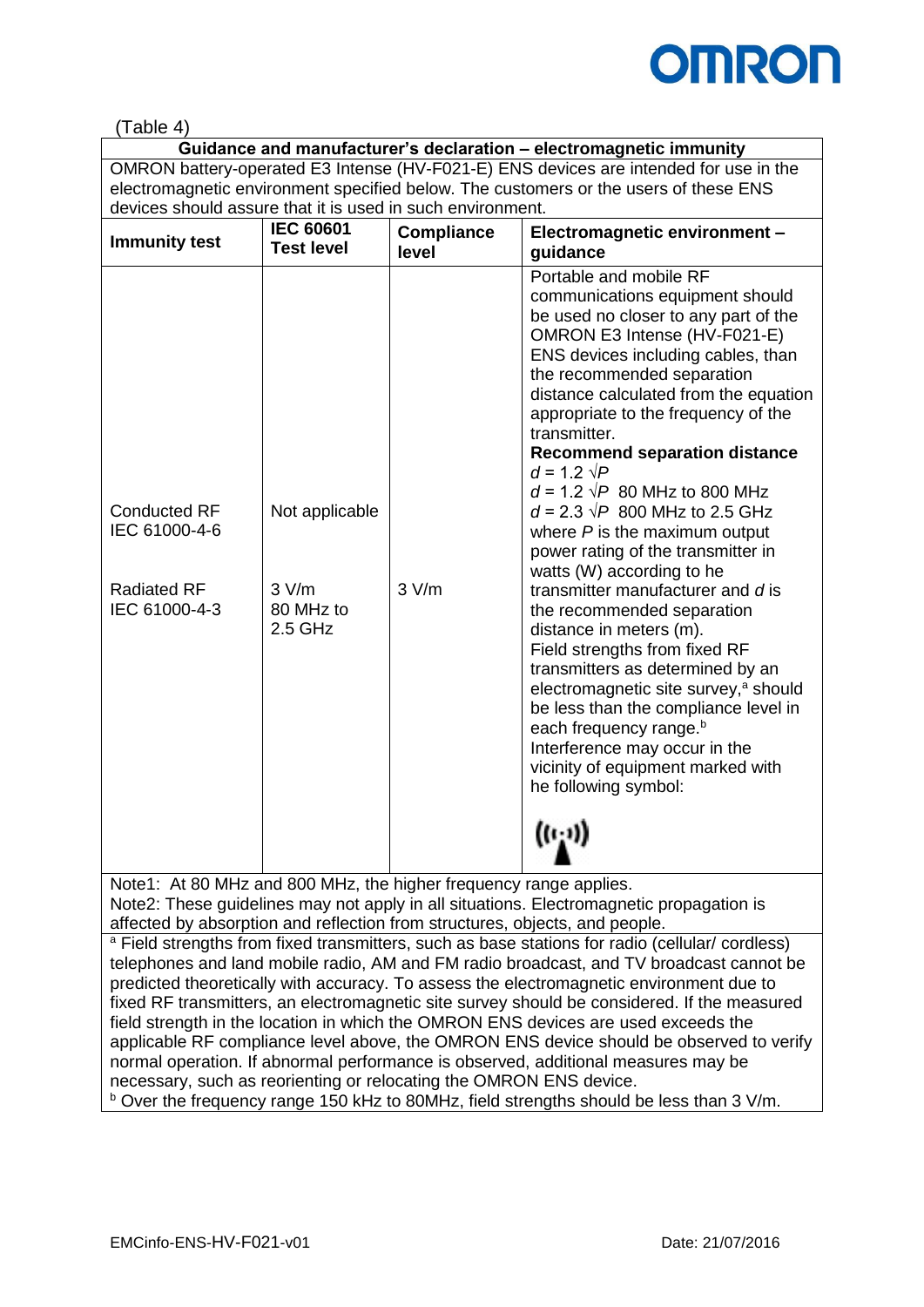

## (Table 4)

**Guidance and manufacturer's declaration – electromagnetic immunity** OMRON battery-operated E3 Intense (HV-F021-E) ENS devices are intended for use in the electromagnetic environment specified below. The customers or the users of these ENS devices should assure that it is used in such environment.

| Portable and mobile RF<br>communications equipment should<br>OMRON E3 Intense (HV-F021-E)                                                                                                                                                                                                                                                                                                                                                                                                                                                                                                                                                                                                                                                                    | <b>Immunity test</b> | <b>IEC 60601</b><br><b>Test level</b> | <b>Compliance</b><br>level | Electromagnetic environment -<br>guidance                                                                                                                                                                                                                                             |
|--------------------------------------------------------------------------------------------------------------------------------------------------------------------------------------------------------------------------------------------------------------------------------------------------------------------------------------------------------------------------------------------------------------------------------------------------------------------------------------------------------------------------------------------------------------------------------------------------------------------------------------------------------------------------------------------------------------------------------------------------------------|----------------------|---------------------------------------|----------------------------|---------------------------------------------------------------------------------------------------------------------------------------------------------------------------------------------------------------------------------------------------------------------------------------|
| appropriate to the frequency of the<br>transmitter.<br>$d = 1.2 \sqrt{P}$<br>$d = 1.2 \sqrt{P}$ 80 MHz to 800 MHz<br>$d = 2.3 \sqrt{P}$ 800 MHz to 2.5 GHz<br><b>Conducted RF</b><br>Not applicable<br>IEC 61000-4-6<br>where $P$ is the maximum output<br>power rating of the transmitter in<br>watts (W) according to he<br>3 V/m<br><b>Radiated RF</b><br>3 V/m<br>transmitter manufacturer and dis<br>IEC 61000-4-3<br>80 MHz to<br>the recommended separation<br>$2.5$ GHz<br>distance in meters (m).<br>Field strengths from fixed RF<br>transmitters as determined by an<br>each frequency range. <sup>b</sup><br>Interference may occur in the<br>vicinity of equipment marked with<br>he following symbol:<br>$\left(\left(\iota_{1}\right)\right)$ |                      |                                       |                            | be used no closer to any part of the<br>ENS devices including cables, than<br>the recommended separation<br>distance calculated from the equation<br><b>Recommend separation distance</b><br>electromagnetic site survey, <sup>a</sup> should<br>be less than the compliance level in |

Note1: At 80 MHz and 800 MHz, the higher frequency range applies. Note2: These guidelines may not apply in all situations. Electromagnetic propagation is affected by absorption and reflection from structures, objects, and people. <sup>a</sup> Field strengths from fixed transmitters, such as base stations for radio (cellular/ cordless) telephones and land mobile radio, AM and FM radio broadcast, and TV broadcast cannot be predicted theoretically with accuracy. To assess the electromagnetic environment due to fixed RF transmitters, an electromagnetic site survey should be considered. If the measured field strength in the location in which the OMRON ENS devices are used exceeds the applicable RF compliance level above, the OMRON ENS device should be observed to verify normal operation. If abnormal performance is observed, additional measures may be necessary, such as reorienting or relocating the OMRON ENS device.

b Over the frequency range 150 kHz to 80MHz, field strengths should be less than 3 V/m.